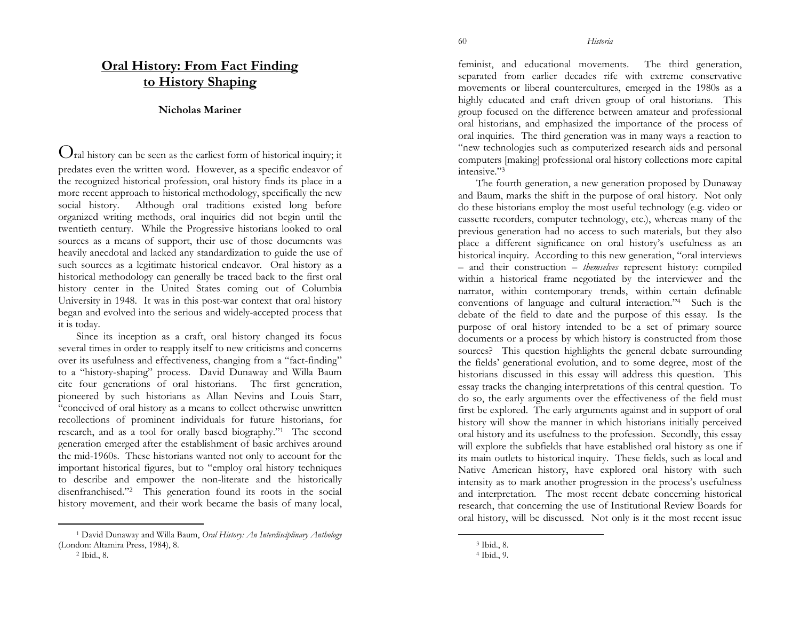## **Oral History: From Fact Finding to History Shaping**

## **Nicholas Mariner**

 $\mathbf{Q}_{\text{ral history can be seen as the earliest form of historical inquiry; it}$ predates even the written word. However, as a specific endeavor of the recognized historical profession, oral history finds its place in a more recent approach to historical methodology, specifically the new social history. Although oral traditions existed long before organized writing methods, oral inquiries did not begin until the twentieth century. While the Progressive historians looked to oral sources as a means of support, their use of those documents was heavily anecdotal and lacked any standardization to guide the use of such sources as a legitimate historical endeavor. Oral history as a historical methodology can generally be traced back to the first oral history center in the United States coming out of Columbia University in 1948. It was in this post-war context that oral history began and evolved into the serious and widely-accepted process that it is today.

Since its inception as a craft, oral history changed its focus several times in order to reapply itself to new criticisms and concerns over its usefulness and effectiveness, changing from a "fact-finding" to a "history-shaping" process. David Dunaway and Willa Baum cite four generations of oral historians. The first generation, pioneered by such historians as Allan Nevins and Louis Starr, "conceived of oral history as a means to collect otherwise unwritten recollections of prominent individuals for future historians, for research, and as a tool for orally based biography."1 The second generation emerged after the establishment of basic archives around the mid-1960s. These historians wanted not only to account for the important historical figures, but to "employ oral history techniques to describe and empower the non-literate and the historically disenfranchised."2 This generation found its roots in the social history movement, and their work became the basis of many local,

feminist, and educational movements. The third generation, separated from earlier decades rife with extreme conservative movements or liberal countercultures, emerged in the 1980s as a highly educated and craft driven group of oral historians. This group focused on the difference between amateur and professional oral historians, and emphasized the importance of the process of oral inquiries. The third generation was in many ways a reaction to "new technologies such as computerized research aids and personal computers [making] professional oral history collections more capital intensive."3

The fourth generation, a new generation proposed by Dunaway and Baum, marks the shift in the purpose of oral history. Not only do these historians employ the most useful technology (e.g. video or cassette recorders, computer technology, etc.), whereas many of the previous generation had no access to such materials, but they also place a different significance on oral history's usefulness as an historical inquiry. According to this new generation, "oral interviews – and their construction – *themselves* represent history: compiled within a historical frame negotiated by the interviewer and the narrator, within contemporary trends, within certain definable conventions of language and cultural interaction."4 Such is the debate of the field to date and the purpose of this essay. Is the purpose of oral history intended to be a set of primary source documents or a process by which history is constructed from those sources? This question highlights the general debate surrounding the fields' generational evolution, and to some degree, most of the historians discussed in this essay will address this question. This essay tracks the changing interpretations of this central question. To do so, the early arguments over the effectiveness of the field must first be explored. The early arguments against and in support of oral history will show the manner in which historians initially perceived oral history and its usefulness to the profession. Secondly, this essay will explore the subfields that have established oral history as one if its main outlets to historical inquiry. These fields, such as local and Native American history, have explored oral history with such intensity as to mark another progression in the process's usefulness and interpretation. The most recent debate concerning historical research, that concerning the use of Institutional Review Boards for oral history, will be discussed. Not only is it the most recent issue

<sup>1</sup> David Dunaway and Willa Baum, *Oral History: An Interdisciplinary Anthology* (London: Altamira Press, 1984), 8. 2 Ibid., 8.

<sup>3</sup> Ibid., 8.

<sup>4</sup> Ibid., 9.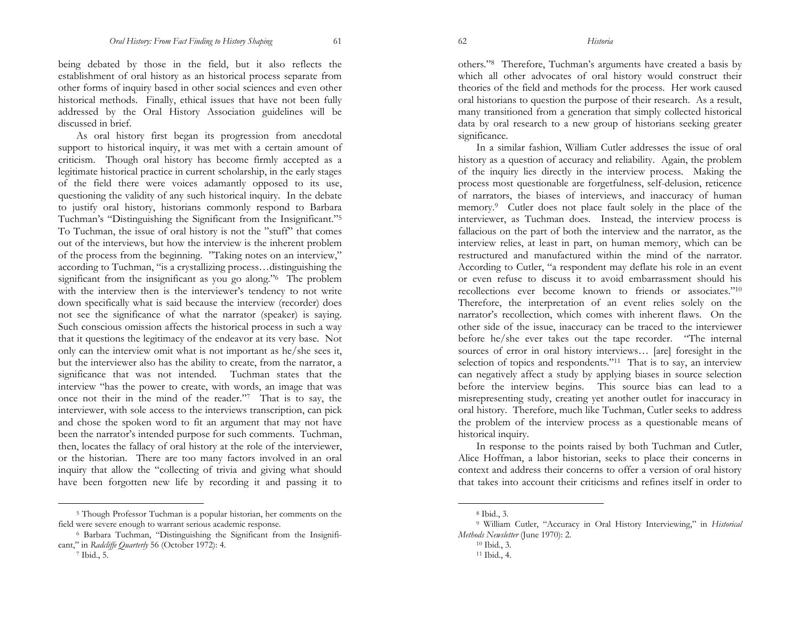being debated by those in the field, but it also reflects the establishment of oral history as an historical process separate from other forms of inquiry based in other social sciences and even other historical methods. Finally, ethical issues that have not been fully addressed by the Oral History Association guidelines will be discussed in brief.

As oral history first began its progression from anecdotal support to historical inquiry, it was met with a certain amount of criticism. Though oral history has become firmly accepted as a legitimate historical practice in current scholarship, in the early stages of the field there were voices adamantly opposed to its use, questioning the validity of any such historical inquiry. In the debate to justify oral history, historians commonly respond to Barbara Tuchman's "Distinguishing the Significant from the Insignificant."5 To Tuchman, the issue of oral history is not the "stuff" that comes out of the interviews, but how the interview is the inherent problem of the process from the beginning. "Taking notes on an interview," according to Tuchman, "is a crystallizing process…distinguishing the significant from the insignificant as you go along."<sup>6</sup> The problem with the interview then is the interviewer's tendency to not write down specifically what is said because the interview (recorder) does not see the significance of what the narrator (speaker) is saying. Such conscious omission affects the historical process in such a way that it questions the legitimacy of the endeavor at its very base. Not only can the interview omit what is not important as he/she sees it, but the interviewer also has the ability to create, from the narrator, a significance that was not intended. Tuchman states that the interview "has the power to create, with words, an image that was once not their in the mind of the reader."7 That is to say, the interviewer, with sole access to the interviews transcription, can pick and chose the spoken word to fit an argument that may not have been the narrator's intended purpose for such comments. Tuchman, then, locates the fallacy of oral history at the role of the interviewer, or the historian. There are too many factors involved in an oral inquiry that allow the "collecting of trivia and giving what should have been forgotten new life by recording it and passing it to

others."8 Therefore, Tuchman's arguments have created a basis by which all other advocates of oral history would construct their theories of the field and methods for the process. Her work caused oral historians to question the purpose of their research. As a result, many transitioned from a generation that simply collected historical data by oral research to a new group of historians seeking greater significance.

In a similar fashion, William Cutler addresses the issue of oral history as a question of accuracy and reliability. Again, the problem of the inquiry lies directly in the interview process. Making the process most questionable are forgetfulness, self-delusion, reticence of narrators, the biases of interviews, and inaccuracy of human memory.9 Cutler does not place fault solely in the place of the interviewer, as Tuchman does. Instead, the interview process is fallacious on the part of both the interview and the narrator, as the interview relies, at least in part, on human memory, which can be restructured and manufactured within the mind of the narrator. According to Cutler, "a respondent may deflate his role in an event or even refuse to discuss it to avoid embarrassment should his recollections ever become known to friends or associates."10 Therefore, the interpretation of an event relies solely on the narrator's recollection, which comes with inherent flaws. On the other side of the issue, inaccuracy can be traced to the interviewer before he/she ever takes out the tape recorder. "The internal sources of error in oral history interviews… [are] foresight in the selection of topics and respondents."<sup>11</sup> That is to say, an interview can negatively affect a study by applying biases in source selection before the interview begins. This source bias can lead to a misrepresenting study, creating yet another outlet for inaccuracy in oral history. Therefore, much like Tuchman, Cutler seeks to address the problem of the interview process as a questionable means of historical inquiry.

In response to the points raised by both Tuchman and Cutler, Alice Hoffman, a labor historian, seeks to place their concerns in context and address their concerns to offer a version of oral history that takes into account their criticisms and refines itself in order to

<sup>5</sup> Though Professor Tuchman is a popular historian, her comments on the field were severe enough to warrant serious academic response.

<sup>6</sup> Barbara Tuchman, "Distinguishing the Significant from the Insignificant," in *Radcliffe Quarterly* 56 (October 1972): 4.

<sup>7</sup> Ibid., 5.

<sup>8</sup> Ibid., 3.

<sup>9</sup> William Cutler, "Accuracy in Oral History Interviewing," in *Historical Methods Newsletter* (June 1970): 2.

<sup>10</sup> Ibid., 3.

<sup>11</sup> Ibid., 4.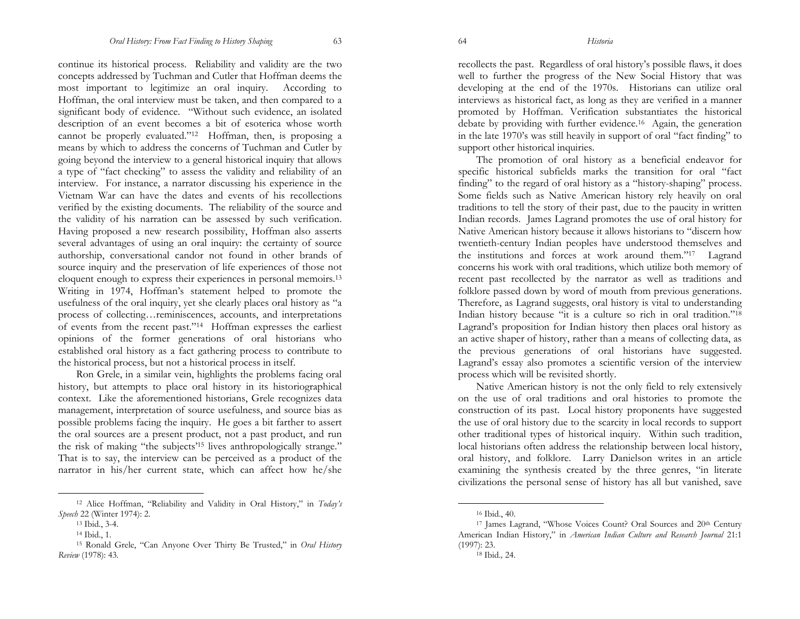continue its historical process. Reliability and validity are the two concepts addressed by Tuchman and Cutler that Hoffman deems the most important to legitimize an oral inquiry. According to Hoffman, the oral interview must be taken, and then compared to a significant body of evidence. "Without such evidence, an isolated description of an event becomes a bit of esoterica whose worth cannot be properly evaluated."12 Hoffman, then, is proposing a means by which to address the concerns of Tuchman and Cutler by going beyond the interview to a general historical inquiry that allows a type of "fact checking" to assess the validity and reliability of an interview. For instance, a narrator discussing his experience in the Vietnam War can have the dates and events of his recollections verified by the existing documents. The reliability of the source and the validity of his narration can be assessed by such verification. Having proposed a new research possibility, Hoffman also asserts several advantages of using an oral inquiry: the certainty of source authorship, conversational candor not found in other brands of source inquiry and the preservation of life experiences of those not eloquent enough to express their experiences in personal memoirs.13 Writing in 1974, Hoffman's statement helped to promote the usefulness of the oral inquiry, yet she clearly places oral history as "a process of collecting…reminiscences, accounts, and interpretations of events from the recent past."14 Hoffman expresses the earliest opinions of the former generations of oral historians who established oral history as a fact gathering process to contribute to the historical process, but not a historical process in itself.

Ron Grele, in a similar vein, highlights the problems facing oral history, but attempts to place oral history in its historiographical context. Like the aforementioned historians, Grele recognizes data management, interpretation of source usefulness, and source bias as possible problems facing the inquiry. He goes a bit farther to assert the oral sources are a present product, not a past product, and run the risk of making "the subjects'15 lives anthropologically strange." That is to say, the interview can be perceived as a product of the narrator in his/her current state, which can affect how he/she

recollects the past. Regardless of oral history's possible flaws, it does well to further the progress of the New Social History that was developing at the end of the 1970s. Historians can utilize oral interviews as historical fact, as long as they are verified in a manner promoted by Hoffman. Verification substantiates the historical debate by providing with further evidence.16 Again, the generation in the late 1970's was still heavily in support of oral "fact finding" to support other historical inquiries.

The promotion of oral history as a beneficial endeavor for specific historical subfields marks the transition for oral "fact finding" to the regard of oral history as a "history-shaping" process. Some fields such as Native American history rely heavily on oral traditions to tell the story of their past, due to the paucity in written Indian records. James Lagrand promotes the use of oral history for Native American history because it allows historians to "discern how twentieth-century Indian peoples have understood themselves and the institutions and forces at work around them."17 Lagrand concerns his work with oral traditions, which utilize both memory of recent past recollected by the narrator as well as traditions and folklore passed down by word of mouth from previous generations. Therefore, as Lagrand suggests, oral history is vital to understanding Indian history because "it is a culture so rich in oral tradition."18 Lagrand's proposition for Indian history then places oral history as an active shaper of history, rather than a means of collecting data, as the previous generations of oral historians have suggested. Lagrand's essay also promotes a scientific version of the interview process which will be revisited shortly.

Native American history is not the only field to rely extensively on the use of oral traditions and oral histories to promote the construction of its past. Local history proponents have suggested the use of oral history due to the scarcity in local records to support other traditional types of historical inquiry. Within such tradition, local historians often address the relationship between local history, oral history, and folklore. Larry Danielson writes in an article examining the synthesis created by the three genres, "in literate civilizations the personal sense of history has all but vanished, save

<sup>12</sup> Alice Hoffman, "Reliability and Validity in Oral History," in *Today's Speech* 22 (Winter 1974): 2.

<sup>13</sup> Ibid., 3-4.

<sup>14</sup> Ibid., 1.

<sup>15</sup> Ronald Grele, "Can Anyone Over Thirty Be Trusted," in *Oral History Review* (1978): 43.

<sup>16</sup> Ibid., 40.

<sup>17</sup> James Lagrand, "Whose Voices Count? Oral Sources and 20th Century American Indian History," in *American Indian Culture and Research Journal* 21:1 (1997): 23.

<sup>18</sup> Ibid.*,* 24.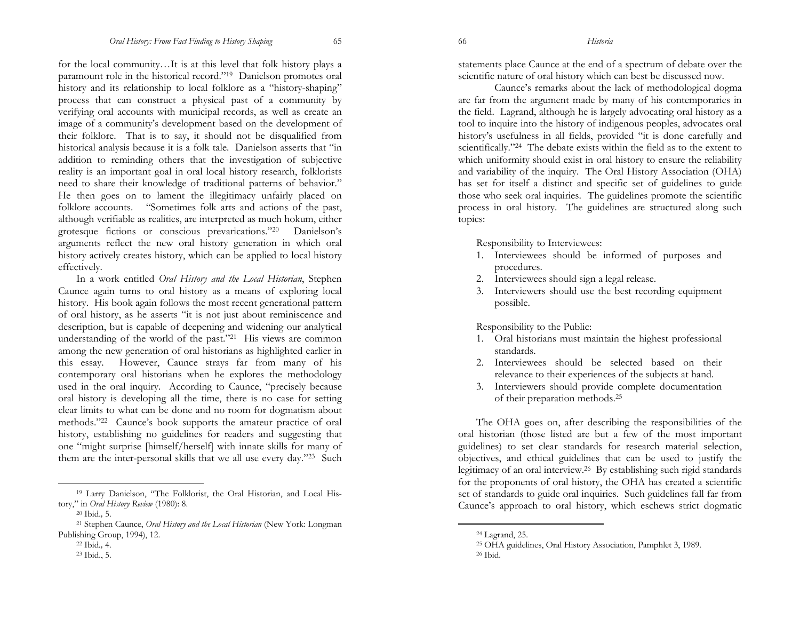for the local community…It is at this level that folk history plays a paramount role in the historical record."19 Danielson promotes oral history and its relationship to local folklore as a "history-shaping" process that can construct a physical past of a community by verifying oral accounts with municipal records, as well as create an image of a community's development based on the development of their folklore. That is to say, it should not be disqualified from historical analysis because it is a folk tale. Danielson asserts that "in addition to reminding others that the investigation of subjective reality is an important goal in oral local history research, folklorists need to share their knowledge of traditional patterns of behavior." He then goes on to lament the illegitimacy unfairly placed on folklore accounts. "Sometimes folk arts and actions of the past, although verifiable as realities, are interpreted as much hokum, either grotesque fictions or conscious prevarications."20 Danielson's arguments reflect the new oral history generation in which oral history actively creates history, which can be applied to local history effectively.

In a work entitled *Oral History and the Local Historian*, Stephen Caunce again turns to oral history as a means of exploring local history. His book again follows the most recent generational pattern of oral history, as he asserts "it is not just about reminiscence and description, but is capable of deepening and widening our analytical understanding of the world of the past."21 His views are common among the new generation of oral historians as highlighted earlier in this essay. However, Caunce strays far from many of his contemporary oral historians when he explores the methodology used in the oral inquiry. According to Caunce, "precisely because oral history is developing all the time, there is no case for setting clear limits to what can be done and no room for dogmatism about methods."22 Caunce's book supports the amateur practice of oral history, establishing no guidelines for readers and suggesting that one "might surprise [himself/herself] with innate skills for many of them are the inter-personal skills that we all use every day."23 Such

19 Larry Danielson, "The Folklorist, the Oral Historian, and Local History," in *Oral History Review* (1980): 8.

statements place Caunce at the end of a spectrum of debate over the scientific nature of oral history which can best be discussed now.

 Caunce's remarks about the lack of methodological dogma are far from the argument made by many of his contemporaries in the field. Lagrand, although he is largely advocating oral history as a tool to inquire into the history of indigenous peoples, advocates oral history's usefulness in all fields, provided "it is done carefully and scientifically."24 The debate exists within the field as to the extent to which uniformity should exist in oral history to ensure the reliability and variability of the inquiry. The Oral History Association (OHA) has set for itself a distinct and specific set of guidelines to guide those who seek oral inquiries. The guidelines promote the scientific process in oral history. The guidelines are structured along such topics:

Responsibility to Interviewees:

- 1. Interviewees should be informed of purposes and procedures.
- 2. Interviewees should sign a legal release.
- 3. Interviewers should use the best recording equipment possible.

Responsibility to the Public:

- 1. Oral historians must maintain the highest professional standards.
- 2. Interviewees should be selected based on their relevance to their experiences of the subjects at hand.
- 3. Interviewers should provide complete documentation of their preparation methods.25

The OHA goes on, after describing the responsibilities of the oral historian (those listed are but a few of the most important guidelines) to set clear standards for research material selection, objectives, and ethical guidelines that can be used to justify the legitimacy of an oral interview.26 By establishing such rigid standards for the proponents of oral history, the OHA has created a scientific set of standards to guide oral inquiries. Such guidelines fall far from Caunce's approach to oral history, which eschews strict dogmatic

<sup>20</sup> Ibid.*,* 5.

<sup>21</sup> Stephen Caunce, *Oral History and the Local Historian* (New York: Longman Publishing Group, 1994), 12.

<sup>22</sup> Ibid*.,* 4.

<sup>23</sup> Ibid., 5.

<sup>24</sup> Lagrand, 25.

<sup>25</sup> OHA guidelines, Oral History Association, Pamphlet 3, 1989.

<sup>26</sup> Ibid.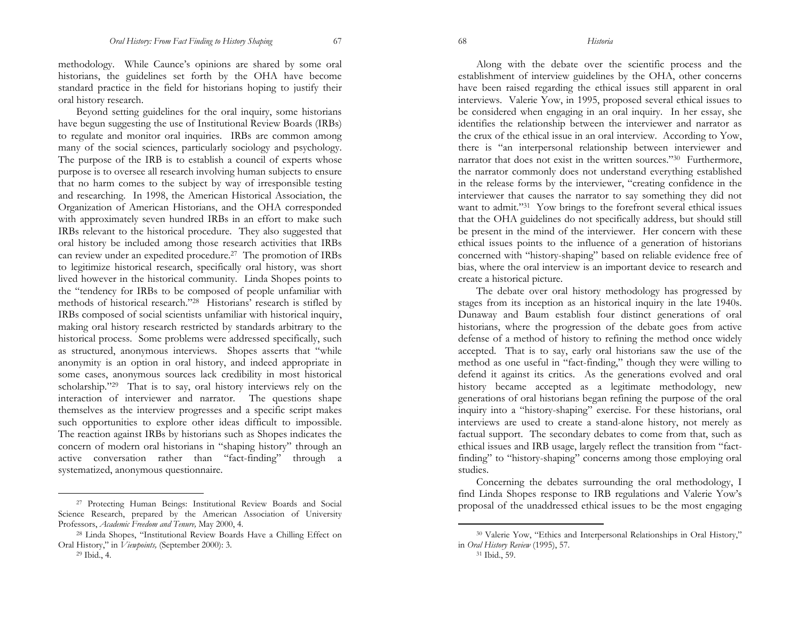methodology. While Caunce's opinions are shared by some oral historians, the guidelines set forth by the OHA have become standard practice in the field for historians hoping to justify their oral history research.

Beyond setting guidelines for the oral inquiry, some historians have begun suggesting the use of Institutional Review Boards (IRBs) to regulate and monitor oral inquiries. IRBs are common among many of the social sciences, particularly sociology and psychology. The purpose of the IRB is to establish a council of experts whose purpose is to oversee all research involving human subjects to ensure that no harm comes to the subject by way of irresponsible testing and researching. In 1998, the American Historical Association, the Organization of American Historians, and the OHA corresponded with approximately seven hundred IRBs in an effort to make such IRBs relevant to the historical procedure. They also suggested that oral history be included among those research activities that IRBs can review under an expedited procedure.27 The promotion of IRBs to legitimize historical research, specifically oral history, was short lived however in the historical community. Linda Shopes points to the "tendency for IRBs to be composed of people unfamiliar with methods of historical research."28 Historians' research is stifled by IRBs composed of social scientists unfamiliar with historical inquiry, making oral history research restricted by standards arbitrary to the historical process. Some problems were addressed specifically, such as structured, anonymous interviews. Shopes asserts that "while anonymity is an option in oral history, and indeed appropriate in some cases, anonymous sources lack credibility in most historical scholarship."29 That is to say, oral history interviews rely on the interaction of interviewer and narrator. The questions shape themselves as the interview progresses and a specific script makes such opportunities to explore other ideas difficult to impossible. The reaction against IRBs by historians such as Shopes indicates the concern of modern oral historians in "shaping history" through an active conversation rather than "fact-finding" through a systematized, anonymous questionnaire.

Along with the debate over the scientific process and the establishment of interview guidelines by the OHA, other concerns have been raised regarding the ethical issues still apparent in oral interviews. Valerie Yow, in 1995, proposed several ethical issues to be considered when engaging in an oral inquiry. In her essay, she identifies the relationship between the interviewer and narrator as the crux of the ethical issue in an oral interview. According to Yow, there is "an interpersonal relationship between interviewer and narrator that does not exist in the written sources."30 Furthermore, the narrator commonly does not understand everything established in the release forms by the interviewer, "creating confidence in the interviewer that causes the narrator to say something they did not want to admit."<sup>31</sup> Yow brings to the forefront several ethical issues that the OHA guidelines do not specifically address, but should still be present in the mind of the interviewer. Her concern with these ethical issues points to the influence of a generation of historians concerned with "history-shaping" based on reliable evidence free of bias, where the oral interview is an important device to research and create a historical picture.

The debate over oral history methodology has progressed by stages from its inception as an historical inquiry in the late 1940s. Dunaway and Baum establish four distinct generations of oral historians, where the progression of the debate goes from active defense of a method of history to refining the method once widely accepted. That is to say, early oral historians saw the use of the method as one useful in "fact-finding," though they were willing to defend it against its critics. As the generations evolved and oral history became accepted as a legitimate methodology, new generations of oral historians began refining the purpose of the oral inquiry into a "history-shaping" exercise. For these historians, oral interviews are used to create a stand-alone history, not merely as factual support. The secondary debates to come from that, such as ethical issues and IRB usage, largely reflect the transition from "factfinding" to "history-shaping" concerns among those employing oral studies.

Concerning the debates surrounding the oral methodology, I find Linda Shopes response to IRB regulations and Valerie Yow's proposal of the unaddressed ethical issues to be the most engaging

<sup>27</sup> Protecting Human Beings: Institutional Review Boards and Social Science Research, prepared by the American Association of University Professors, *Academic Freedom and Tenure,* May 2000, 4.

<sup>28</sup> Linda Shopes, "Institutional Review Boards Have a Chilling Effect on Oral History," in *Viewpoints,* (September 2000): 3.

<sup>29</sup> Ibid., 4.

<sup>30</sup> Valerie Yow, "Ethics and Interpersonal Relationships in Oral History," in *Oral History Review* (1995), 57.

<sup>31</sup> Ibid., 59.